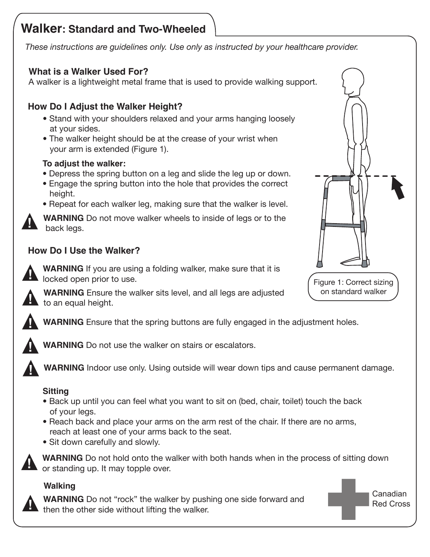# **Walker: Standard and Two-Wheeled**

*These instructions are guidelines only. Use only as instructed by your healthcare provider.*

## **What is a Walker Used For?**

A walker is a lightweight metal frame that is used to provide walking support.

## **How Do I Adjust the Walker Height?**

- Stand with your shoulders relaxed and your arms hanging loosely at your sides.
- The walker height should be at the crease of your wrist when your arm is extended (Figure 1).

#### **To adjust the walker:**

- Depress the spring button on a leg and slide the leg up or down.
- Engage the spring button into the hole that provides the correct height.
- Repeat for each walker leg, making sure that the walker is level.

**WARNING** Do not move walker wheels to inside of legs or to the back legs.

## **How Do I Use the Walker?**

**WARNING** If you are using a folding walker, make sure that it is locked open prior to use.

**WARNING** Ensure the walker sits level, and all legs are adjusted to an equal height.

**WARNING** Ensure that the spring buttons are fully engaged in the adjustment holes.



**!**

**!**

**!**

**WARNING** Do not use the walker on stairs or escalators.

**WARNING** Indoor use only. Using outside will wear down tips and cause permanent damage.

## **Sitting**

- Back up until you can feel what you want to sit on (bed, chair, toilet) touch the back of your legs.
- Reach back and place your arms on the arm rest of the chair. If there are no arms, reach at least one of your arms back to the seat.
- Sit down carefully and slowly.



**WARNING** Do not hold onto the walker with both hands when in the process of sitting down or standing up. It may topple over.

#### **Walking**



**! WARNING** Do not "rock" the walker by pushing one side forward and then the other side without lifting the walker.



Figure 1: Correct sizing on standard walker

> Canadian Red Cross